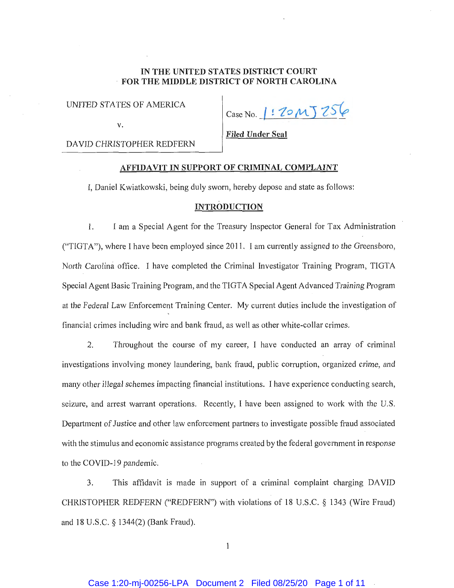# **IN THE UNITED STATES DISTRICT COURT FOR THE MIDDLE DISTRICT OF NORTH CAROLINA**

UNITED STATES OF AMERICA

**V.** 

Case No. 1:20 MJ 256

DA YID CHRISTOPHER REDFERN

**Filed Under Seal** 

# **AFFIDAVIT IN SUPPORT OF CRIMINAL COMPLAINT**

I, Daniel Kwiatkowski, being duly sworn, hereby depose and state as follows:

## **INTRODUCTION**

1. I am a Special Agent for the Treasury Inspector General for Tax Administration ("TIGTA"), where I have been employed since 2011. I am currently assigned to the Greensboro, North Carolina office. I have completed the Criminal Investigator Training Program, TIGTA Special Agent Basic Training Program, and the TIGTA Special Agent Advanced Training Program at the Federal Law Enforcement Training Center. My current duties include the investigation of financial crimes including wire and bank fraud, as well as other white-collar crimes.

2. Throughout the course of my career, I have conducted an array of criminal investigations involving money laundering, bank fraud, public corruption, organized crime, and many other illegal schemes impacting financial institutions. I have experience conducting search, seizure, and arrest warrant operations. Recently, I have been assigned to work with the U.S. Department of Justice and other law enforcement partners to investigate possible fraud associated with the stimulus and economic assistance programs created by the federal government in response to the COVID-19 pandemic.

3. This affidavit is made **in** support of a criminal complaint charging DAVID CHRISTOPHER REDFERN ("REDFERN") with violations of 18 U.S.C. § 1343 (Wire Fraud) and 18 U.S.C. § 1344(2) (Bank Fraud).

 $\mathbf{1}$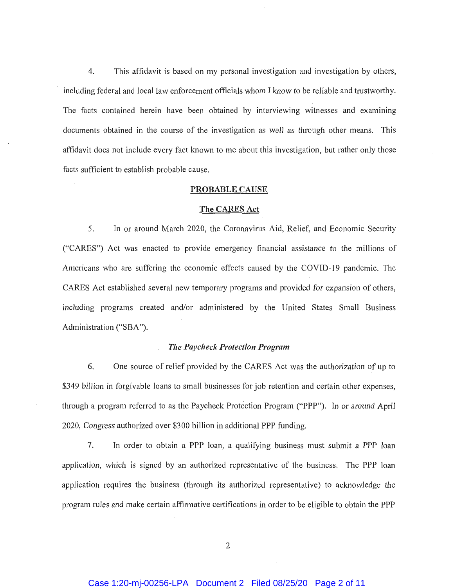4. This affidavit is based on my personal investigation and investigation by others, including federal and local law enforcement officials whom I know to be reliable and trustworthy. The facts contained herein have been obtained by interviewing witnesses and examining documents obtained in the course of the investigation as well as through other means. This affidavit does not include every fact known to me about this investigation, but rather only those facts sufficient to establish probable cause.

### **PROBABLE CAUSE**

#### **The CARES Act**

5. In or around March 2020, the Coronavirus Aid, Relief, and Economic Security ("CARES") Act was enacted to provide emergency financial assistance to the millions of Americans who are suffering the economic effects caused by the COVID-19 pandemic. The CARES Act established several new temporary programs and provided for expansion of others, including programs created and/or administered by the United States Small Business Administration ("SBA").

#### *The Paycheck Protection Program*

6. One source of relief provided by the CARES Act was the authorization of up to \$349 billion in forgivable loans to small businesses for job retention and certain other expenses, through a program referred to as the Paycheck Protection Program ("PPP"). In or around April 2020, Congress authorized over \$300 billion in additional PPP funding.

7. In order to obtain a PPP loan, a qualifying business must submit a PPP loan application, which is signed by an authorized representative of the business. The PPP loan application requires the business (through its authorized representative) to acknowledge the program rules and make cetiain affirmative certifications in order to be eligible to obtain the PPP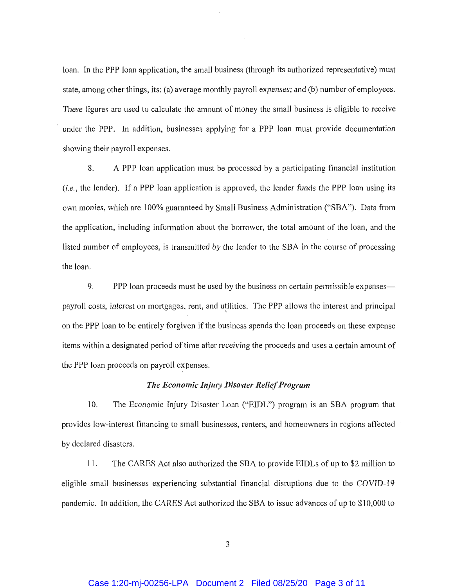loan. In the PPP loan application, the small business (through its authorized representative) must state, among other things, its: (a) average monthly payroll expenses; and (b) number of employees. These figures are used to calculate the amount of money the small business is eligible to receive under the PPP. In addition, businesses applying for a PPP loan must provide documentation showing their payroll expenses.

8. A PPP loan application must be processed by a participating financial institution *(i.e.,* the lender). If a PPP loan application is approved, the lender funds the PPP loan using its own monies, which are I 00% guaranteed by Small Business Administration ("SBA"). Data from the application, including information about the borrower, the total amount of the loan, and the listed number of employees, is transmitted by the lender to the SBA in the course of processing the loan.

9. PPP loan proceeds must be used by the business on certain permissible expenses payroll costs, interest on mortgages, rent, and utilities. The PPP allows the interest and principal on the PPP loan to be entirely forgiven if the business spends the loan proceeds on these expense items within a designated period of time after receiving the proceeds and uses a certain amount of the PPP loan proceeds on payroll expenses.

## *The Economic Injury Disaster Relief Program*

10. The Economic Injury Disaster Loan ("EIDL") program is an SBA program that provides low-interest financing to small businesses, renters, and homeowners in regions affected by declared disasters.

11. The CARES Act also authorized the SBA to provide EIDLs of up to \$2 million to eligible small businesses experiencing substantial financial disruptions due to the COVID-19 pandemic. In addition, the CARES Act authorized the SBA to issue advances of up to \$10,000 to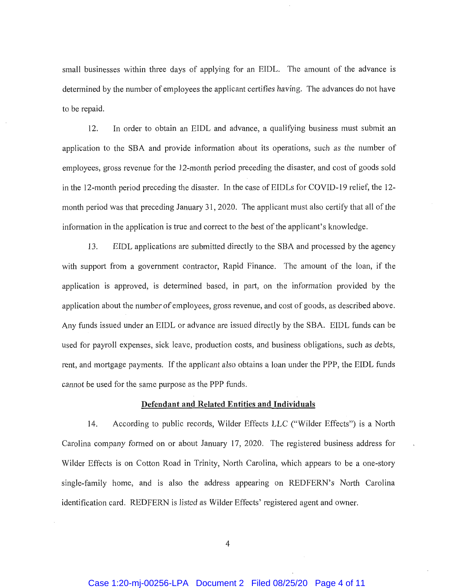small businesses within three days of applying for an EIDL. The amount of the advance is determined by the number of employees the applicant certifies having. The advances do not have to be repaid.

12. In order to obtain an EIDL and advance, a qualifying business must submit an application to the SBA and provide information about its operations, such as the number of employees, gross revenue for the 12-month period preceding the disaster, and cost of goods sold in the 12-month period preceding the disaster. In the case of EIDLs for COVID-19 relief, the 12month period was that preceding January 31, 2020. The applicant must also certify that all of the information in the application is true and correct to the best of the applicant's knowledge.

13. EIDL applications are submitted directly to the SBA and processed by the agency with support from a government contractor, Rapid Finance. The amount of the loan, if the application is approved, is determined based, in part, on the information provided by the application about the number of employees, gross revenue, and cost of goods, as described above. Any funds issued under an EIDL or advance are issued directly by the SBA. EIDL funds can be used for payroll expenses, sick leave, production costs, and business obligations, such as debts, rent, and mortgage payments. If the applicant also obtains a loan under the PPP, the EIDL funds cannot be used for the same purpose as the PPP funds.

# **Defendant and Related Entities and Individuals**

14. According to public records, Wilder Effects LLC ("Wilder Effects") is a North Carolina company formed on or about January 17, 2020. The registered business address for Wilder Effects is on Cotton Road in Trinity, North Carolina, which appears to be a one-story single-family home, and is also the address appearing on REDFERN's North Carolina identification card. REDFERN is listed as Wilder Effects' registered agent and owner.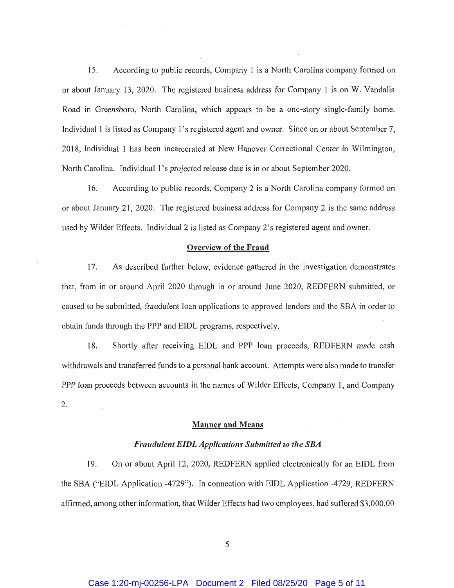15. According to public records, Company 1 is a North Carolina company formed on or about January 13, 2020. The registered business address for Company 1 is on W. Vandalia Road in Greensboro, North Carolina, which appears to be a one-story single-family home. Individual 1 is listed as Company l's registered agent and owner. Since on or about September 7, 2018, Individual 1 has been incarcerated at New Hanover Correctional Center in Wilmington, North Carolina. Individual l's projected release date is in or about September 2020.

16. According to public records, Company 2 is a North Carolina company formed on or about January 21, 2020. The registered business address for Company 2 is the same address used by Wilder Effects. Individual 2 is listed as Company 2's registered agent and owner.

## **Overview of the Fraud**

17. As described fmther below, evidence gathered in the investigation demonstrates that, from in or around April 2020 through in or around June 2020, REDFERN submitted, or caused to be submitted, fraudulent loan applications to approved lenders and the SBA in order to obtain funds through the PPP and EIDL programs, respectively.

18. Shortly after receiving EIDL and PPP loan proceeds, REDFERN made cash withdrawals and transferred funds to a personal bank account. Attempts were also made to transfer PPP loan proceeds between accounts in the names of Wilder Effects, Company 1, and Company 2.

# **Manner and Means**

# *Fraudulent EIDL Applications Submitted to the SBA*

19. On or about April 12, 2020, REDFERN applied electronically for an EIDL from the SBA ("EIDL Application -4729"). In connection with EIDL Application -4729, REDFERN affirmed, among other information, that Wilder Effects had two employees, had suffered \$3,000.00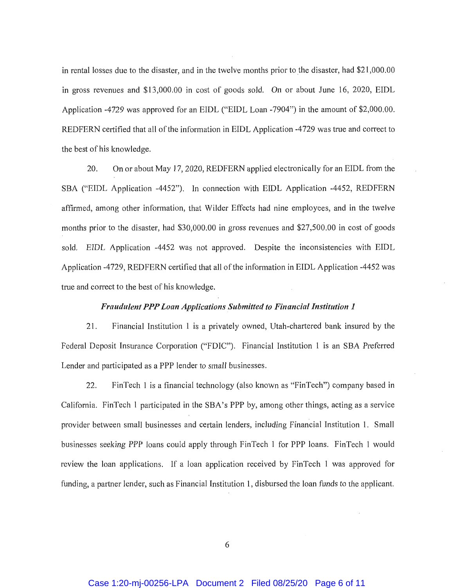in rental losses due to the disaster, and in the twelve months prior to the disaster, had \$21,000.00 in gross revenues and \$13,000.00 in cost of goods sold. On or about June 16, 2020, EIDL Application -4729 was approved for an EIDL ("EIDL Loan -7904") in the amount of \$2,000.00. REDFERN cetiified that all of the information in EIDL Application -4729 was true and correct to the best of his knowledge.

20. On or about May 17, 2020, REDFERN applied electronically for an EIDL from the SBA ("EIDL Application -4452"). In connection with EIDL Application -4452, REDFERN affirmed, among other information, that Wilder Effects had nine employees, and in the twelve months prior to the disaster, had \$30,000.00 in gross revenues and \$27,500.00 in cost of goods sold. EIDL Application -4452 was not approved. Despite the inconsistencies with EIDL Application -4729, REDFERN certified that all of the information in EIDL Application -4452 was true and correct to the best of his knowledge.

# *Fraudulent PPP Loan Applications Submitted to Financial Institution 1*

21 . Financial Institution 1 is a privately owned, Utah-chartered bank insured by the Federal Deposit Insurance Corporation ("FDIC"). Financial Institution 1 is an SBA Preferred Lender and participated as a PPP lender to small businesses.

22. FinTech 1 is a financial technology (also known as "FinTech") company based in California. FinTech 1 participated in the SBA's PPP by, among other things, acting as a service provider between small businesses and certain lenders, including Financial Institution 1. Small businesses seeking PPP loans could apply through FinTech **1** for PPP loans. FinTech 1 would review the loan applications. If a loan application received by FinTech 1 was approved for funding, a partner lender, such as Financial Institution 1, disbursed the loan funds to the applicant.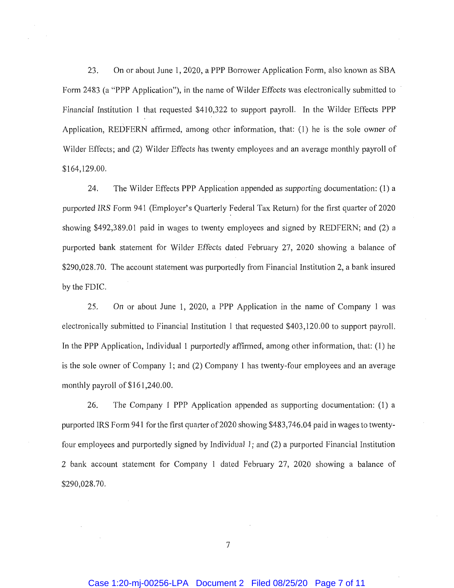23. On or about June 1, 2020, a PPP Borrower Application Form, also known as SBA Form 2483 (a "PPP Application"), in the name of Wilder Effects was electronically submitted to Financial Institution 1 that requested \$410,322 to support payroll. In the Wilder Effects PPP Application, REDFERN affirmed, among other information, that: (1) he is the sole owner of Wilder Effects; and (2) Wilder Effects has twenty employees and an average monthly payroll of \$164,129.00.

24. The Wilder Effects PPP Application appended as supporting documentation: (1) a purported IRS Form 941 (Employer's Quarterly Federal Tax Return) for the first quarter of 2020 showing \$492,389.01 paid in wages to twenty employees and signed by REDFERN; and (2) a purported bank statement for Wilder Effects dated February 27, 2020 showing a balance of \$290,028.70. The account statement was purportedly from Financial Institution 2, a bank insured by the FDIC.

25. On or about June 1, 2020, a PPP Application in the name of Company 1 was electronically submitted to Financial Institution 1 that requested \$403,120.00 to support payroll. In the PPP Application, Individual 1 purportedly affirmed, among other information, that: (1) he is the sole owner of Company l; and (2) Company 1 has twenty-four employees and an average monthly payroll of \$161,240.00.

26. The Company 1 PPP Application appended as supporting documentation: (1) a purported IRS Form 941 for the first quarter of 2020 showing \$483,746.04 paid in wages to twentyfour employees and purportedly signed by Individual 1; and (2) a purported Financial Institution 2 bank account statement for Company 1 dated February 27, 2020 showing a balance of \$290,028.70.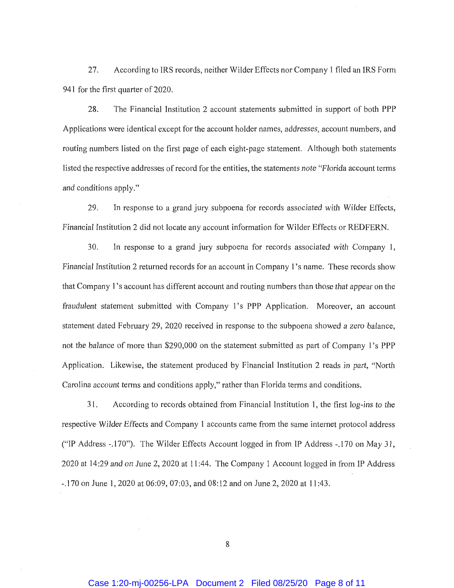27. According to IRS records, neither Wilder Effects nor Company I filed an IRS Form 941 for the first quarter of 2020.

28. The Financial Institution 2 account statements submitted in support of both PPP Applications were identical except for the account holder names, addresses, account numbers, and routing numbers listed on the first page of each eight-page statement. Although both statements listed the respective addresses of record for the entities, the statements note "Florida account terms and conditions apply."

29. In response to a grand jury subpoena for records associated with Wilder Effects, Financial Institution 2 did not locate any account information for Wilder Effects or REDFERN.

30. In response to a grand jury subpoena for records associated with Company I, Financial Institution 2 returned records for an account in Company I's name. These records show that Company I's account has different account and routing numbers than those that appear on the fraudulent statement submitted with Company l's PPP Application. Moreover, an account statement dated February 29, 2020 received in response to the subpoena showed a zero balance, not the balance of more than \$290,000 on the statement submitted as part of Company I's PPP Application. Likewise, the statement produced by Financial Institution 2 reads in part, "North Carolina account terms and conditions apply," rather than Florida terms and conditions.

31 . According to records obtained from Financial Institution I, the first log-ins to the respective· Wilder Effects and Company 1 accounts came from the same internet protocol address ("IP Address -.170"). The Wilder Effects Account logged in from IP Address -.170 on May 31, 2020 at 14:29 and on June 2, 2020 at I 1 :44. The Company I Account logged in from IP Address -.170 on June I, 2020 at 06:09, 07:03, and 08: 12 and on June 2, 2020 at 1 I :43.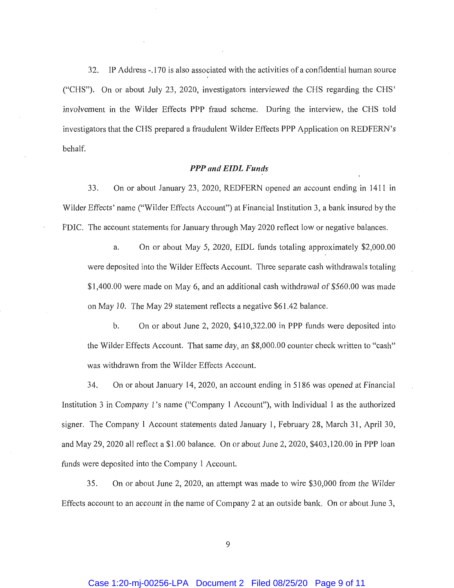32. IP Address -.170 is also associated with the activities of a confidential human source ("CHS"). On or about July 23, 2020, investigators interviewed the CHS regarding the CHS.' involvement in the Wilder Effects PPP fraud scheme. During the interview, the CHS told investigators that the CHS prepared a fraudulent Wilder Effects PPP Application on REDFERN's behalf.

### *PPP and EIDL Funds*

33. On or about January 23, 2020, REDFERN opened an account ending in 1411 m Wilder Effects' name ("Wilder Effects Account") at Financial Institution 3, a bank insured by the FDIC. The account statements for January through May 2020 reflect low or negative balances.

a. On or about May 5, 2020, EIDL funds totaling approximately \$2,000.00 were deposited into the Wilder Effects Account. Three separate cash withdrawals totaling \$1,400.00 were made on May 6, and an additional cash withdrawal of \$560.00 was made on May **l** 0. The May 29 statement reflects a negative \$61.42 balance.

b. On or about June 2, 2020, \$410,322.00 in PPP funds were deposited into the Wilder Effects Account. That same day, an \$8,000.00 counter check written to "cash" was withdrawn from the Wilder Effects Account.

34. On or about January 14, 2020, an account ending in 5186 was opened at Financial Institution 3 in Company **1** 's name ("Company 1 Account"), with Individual I as the authorized signer. The Company I Account statements dated January 1, February 28, March 31, April 30, and May 29, 2020 all reflect a \$1.00 balance. On or about June 2, 2020, \$403,120.00 in PPP loan funds were deposited into the Company 1 Account.

35. On or about June 2, 2020, an attempt was made to wire \$30,000 from the Wilder Effects account to an account in the name of Company 2 at an outside bank. On or about June 3,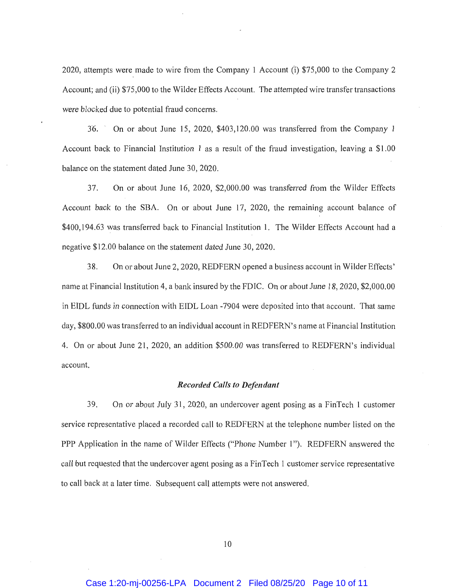2020, attempts were made to wire from the Company 1 Account (i) \$75,000 to the Company 2 Account; and (ii) \$75,000 to the Wilder Effects Account. The attempted wire transfer transactions were blocked due to potential fraud concerns.

J6. ' On or about June 15, 2020, \$403,120.00 was transferred from the Company 1 Account back to Financial Institution I as a result of the fraud investigation, leaving a \$1.00 balance on the statement dated June 30, 2020.

37. On or about June 16, 2020, \$2,000.00 was transferred from the Wilder Effects Account back to the SBA. On or about June 17, 2020, the remaining account balance of \$400,194.63 was transferred back to Financial Institution 1. The Wilder Effects Account had a negative \$12.00 balance on the statement dated June 30, 2020.

38. On or about June 2, 2020, REDFERN opened a business account in Wilder Effects' name at Financial Institution 4, a bank insured by the FDIC. On or about June 18, 2020, \$2,000.00 in EIDL funds in connection with EIDL Loan -7904 were deposited into that account. That same day, \$800.00 was transferred to an individual account in REDFERN's name at Financial Institution 4. On or about June 21, 2020, an addition \$500.00 was transferred to REDFERN's individual account.

### *Recorded Calls to Defendant*

39. On or about July 31, 2020, an undercover agent posing as a FinTech I customer service representative placed a recorded call to REDFERN at the telephone number listed on the PPP Application in the name of Wilder Effects ("Phone Number 1"). REDFERN answered the call but requested that the undercover agent posing as a Fin Tech 1 customer service representative to call back at a later time. Subsequent call attempts were not answered.